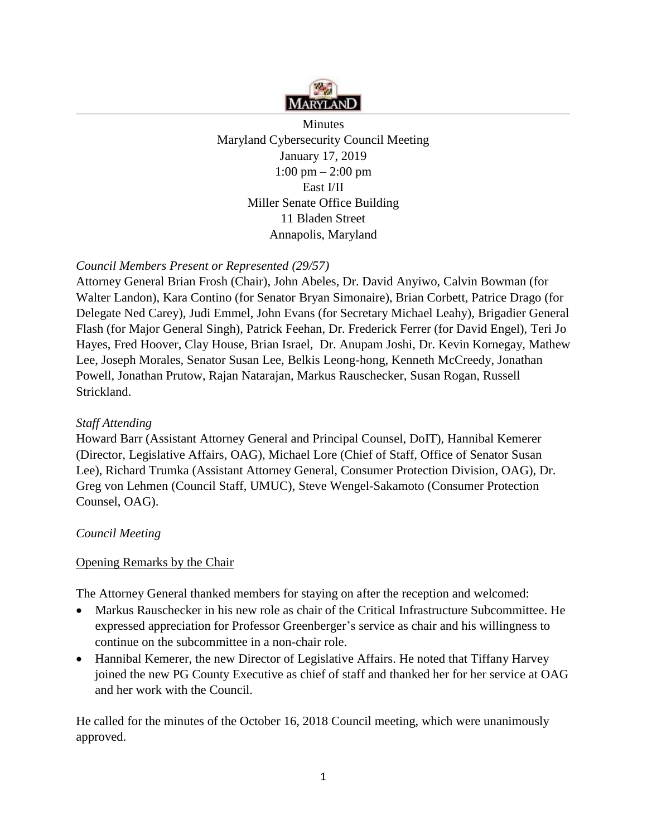

**Minutes** Maryland Cybersecurity Council Meeting January 17, 2019 1:00 pm – 2:00 pm East I/II Miller Senate Office Building 11 Bladen Street Annapolis, Maryland

## *Council Members Present or Represented (29/57)*

Attorney General Brian Frosh (Chair), John Abeles, Dr. David Anyiwo, Calvin Bowman (for Walter Landon), Kara Contino (for Senator Bryan Simonaire), Brian Corbett, Patrice Drago (for Delegate Ned Carey), Judi Emmel, John Evans (for Secretary Michael Leahy), Brigadier General Flash (for Major General Singh), Patrick Feehan, Dr. Frederick Ferrer (for David Engel), Teri Jo Hayes, Fred Hoover, Clay House, Brian Israel, Dr. Anupam Joshi, Dr. Kevin Kornegay, Mathew Lee, Joseph Morales, Senator Susan Lee, Belkis Leong-hong, Kenneth McCreedy, Jonathan Powell, Jonathan Prutow, Rajan Natarajan, Markus Rauschecker, Susan Rogan, Russell Strickland.

### *Staff Attending*

Howard Barr (Assistant Attorney General and Principal Counsel, DoIT), Hannibal Kemerer (Director, Legislative Affairs, OAG), Michael Lore (Chief of Staff, Office of Senator Susan Lee), Richard Trumka (Assistant Attorney General, Consumer Protection Division, OAG), Dr. Greg von Lehmen (Council Staff, UMUC), Steve Wengel-Sakamoto (Consumer Protection Counsel, OAG).

### *Council Meeting*

### Opening Remarks by the Chair

The Attorney General thanked members for staying on after the reception and welcomed:

- Markus Rauschecker in his new role as chair of the Critical Infrastructure Subcommittee. He expressed appreciation for Professor Greenberger's service as chair and his willingness to continue on the subcommittee in a non-chair role.
- Hannibal Kemerer, the new Director of Legislative Affairs. He noted that Tiffany Harvey joined the new PG County Executive as chief of staff and thanked her for her service at OAG and her work with the Council.

He called for the minutes of the October 16, 2018 Council meeting, which were unanimously approved.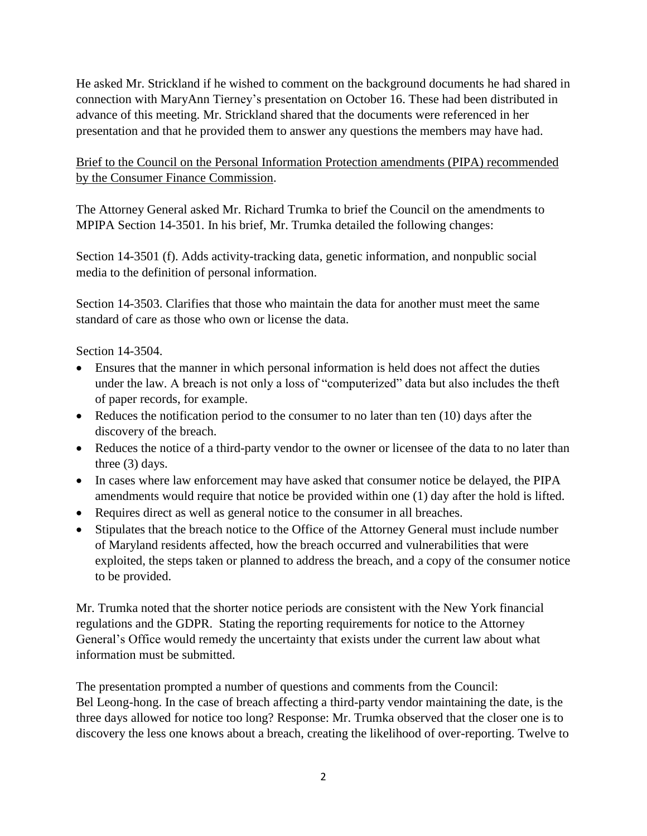He asked Mr. Strickland if he wished to comment on the background documents he had shared in connection with MaryAnn Tierney's presentation on October 16. These had been distributed in advance of this meeting. Mr. Strickland shared that the documents were referenced in her presentation and that he provided them to answer any questions the members may have had.

## Brief to the Council on the Personal Information Protection amendments (PIPA) recommended by the Consumer Finance Commission.

The Attorney General asked Mr. Richard Trumka to brief the Council on the amendments to MPIPA Section 14-3501. In his brief, Mr. Trumka detailed the following changes:

Section 14-3501 (f). Adds activity-tracking data, genetic information, and nonpublic social media to the definition of personal information.

Section 14-3503. Clarifies that those who maintain the data for another must meet the same standard of care as those who own or license the data.

Section 14-3504.

- Ensures that the manner in which personal information is held does not affect the duties under the law. A breach is not only a loss of "computerized" data but also includes the theft of paper records, for example.
- Reduces the notification period to the consumer to no later than ten (10) days after the discovery of the breach.
- Reduces the notice of a third-party vendor to the owner or licensee of the data to no later than three (3) days.
- In cases where law enforcement may have asked that consumer notice be delayed, the PIPA amendments would require that notice be provided within one (1) day after the hold is lifted.
- Requires direct as well as general notice to the consumer in all breaches.
- Stipulates that the breach notice to the Office of the Attorney General must include number of Maryland residents affected, how the breach occurred and vulnerabilities that were exploited, the steps taken or planned to address the breach, and a copy of the consumer notice to be provided.

Mr. Trumka noted that the shorter notice periods are consistent with the New York financial regulations and the GDPR. Stating the reporting requirements for notice to the Attorney General's Office would remedy the uncertainty that exists under the current law about what information must be submitted.

The presentation prompted a number of questions and comments from the Council: Bel Leong-hong. In the case of breach affecting a third-party vendor maintaining the date, is the three days allowed for notice too long? Response: Mr. Trumka observed that the closer one is to discovery the less one knows about a breach, creating the likelihood of over-reporting. Twelve to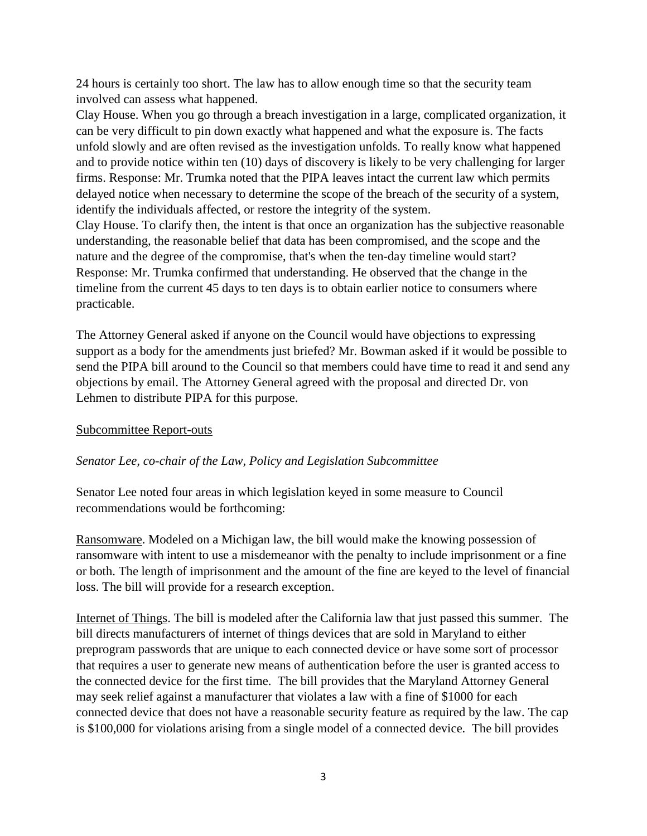24 hours is certainly too short. The law has to allow enough time so that the security team involved can assess what happened.

Clay House. When you go through a breach investigation in a large, complicated organization, it can be very difficult to pin down exactly what happened and what the exposure is. The facts unfold slowly and are often revised as the investigation unfolds. To really know what happened and to provide notice within ten (10) days of discovery is likely to be very challenging for larger firms. Response: Mr. Trumka noted that the PIPA leaves intact the current law which permits delayed notice when necessary to determine the scope of the breach of the security of a system, identify the individuals affected, or restore the integrity of the system.

Clay House. To clarify then, the intent is that once an organization has the subjective reasonable understanding, the reasonable belief that data has been compromised, and the scope and the nature and the degree of the compromise, that's when the ten-day timeline would start? Response: Mr. Trumka confirmed that understanding. He observed that the change in the timeline from the current 45 days to ten days is to obtain earlier notice to consumers where practicable.

The Attorney General asked if anyone on the Council would have objections to expressing support as a body for the amendments just briefed? Mr. Bowman asked if it would be possible to send the PIPA bill around to the Council so that members could have time to read it and send any objections by email. The Attorney General agreed with the proposal and directed Dr. von Lehmen to distribute PIPA for this purpose.

### Subcommittee Report-outs

#### *Senator Lee, co-chair of the Law, Policy and Legislation Subcommittee*

Senator Lee noted four areas in which legislation keyed in some measure to Council recommendations would be forthcoming:

Ransomware. Modeled on a Michigan law, the bill would make the knowing possession of ransomware with intent to use a misdemeanor with the penalty to include imprisonment or a fine or both. The length of imprisonment and the amount of the fine are keyed to the level of financial loss. The bill will provide for a research exception.

Internet of Things. The bill is modeled after the California law that just passed this summer. The bill directs manufacturers of internet of things devices that are sold in Maryland to either preprogram passwords that are unique to each connected device or have some sort of processor that requires a user to generate new means of authentication before the user is granted access to the connected device for the first time. The bill provides that the Maryland Attorney General may seek relief against a manufacturer that violates a law with a fine of \$1000 for each connected device that does not have a reasonable security feature as required by the law. The cap is \$100,000 for violations arising from a single model of a connected device. The bill provides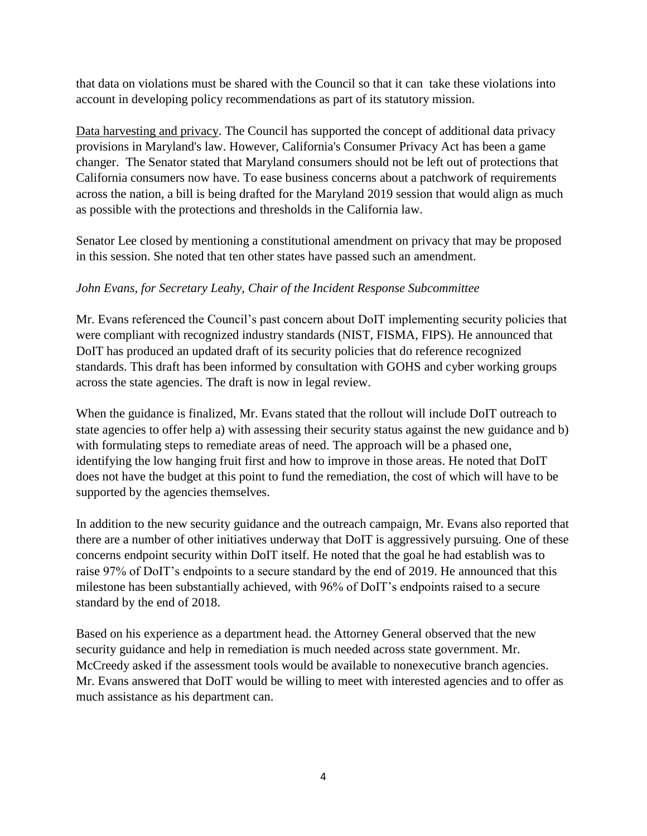that data on violations must be shared with the Council so that it can take these violations into account in developing policy recommendations as part of its statutory mission.

Data harvesting and privacy. The Council has supported the concept of additional data privacy provisions in Maryland's law. However, California's Consumer Privacy Act has been a game changer. The Senator stated that Maryland consumers should not be left out of protections that California consumers now have. To ease business concerns about a patchwork of requirements across the nation, a bill is being drafted for the Maryland 2019 session that would align as much as possible with the protections and thresholds in the California law.

Senator Lee closed by mentioning a constitutional amendment on privacy that may be proposed in this session. She noted that ten other states have passed such an amendment.

## *John Evans, for Secretary Leahy, Chair of the Incident Response Subcommittee*

Mr. Evans referenced the Council's past concern about DoIT implementing security policies that were compliant with recognized industry standards (NIST, FISMA, FIPS). He announced that DoIT has produced an updated draft of its security policies that do reference recognized standards. This draft has been informed by consultation with GOHS and cyber working groups across the state agencies. The draft is now in legal review.

When the guidance is finalized, Mr. Evans stated that the rollout will include DoIT outreach to state agencies to offer help a) with assessing their security status against the new guidance and b) with formulating steps to remediate areas of need. The approach will be a phased one, identifying the low hanging fruit first and how to improve in those areas. He noted that DoIT does not have the budget at this point to fund the remediation, the cost of which will have to be supported by the agencies themselves.

In addition to the new security guidance and the outreach campaign, Mr. Evans also reported that there are a number of other initiatives underway that DoIT is aggressively pursuing. One of these concerns endpoint security within DoIT itself. He noted that the goal he had establish was to raise 97% of DoIT's endpoints to a secure standard by the end of 2019. He announced that this milestone has been substantially achieved, with 96% of DoIT's endpoints raised to a secure standard by the end of 2018.

Based on his experience as a department head. the Attorney General observed that the new security guidance and help in remediation is much needed across state government. Mr. McCreedy asked if the assessment tools would be available to nonexecutive branch agencies. Mr. Evans answered that DoIT would be willing to meet with interested agencies and to offer as much assistance as his department can.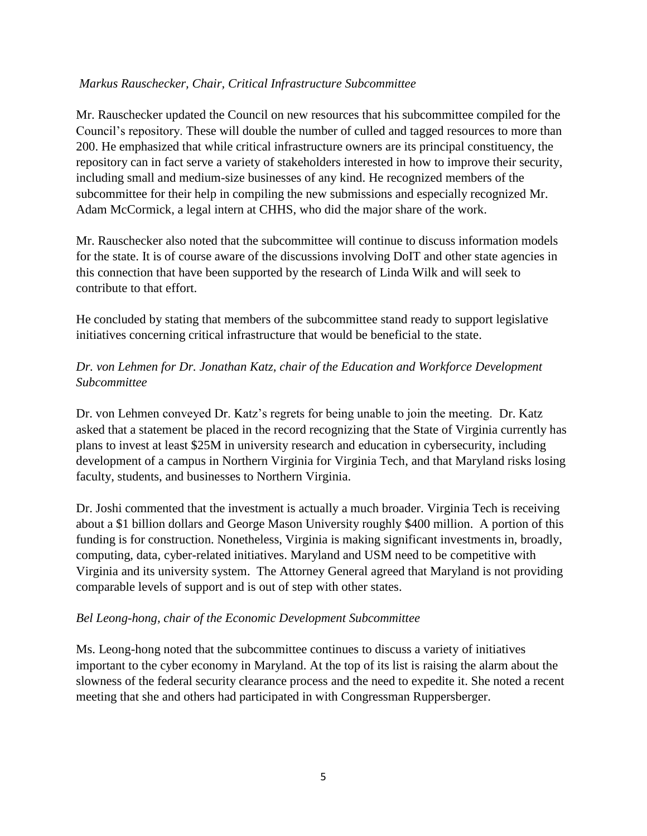### *Markus Rauschecker, Chair, Critical Infrastructure Subcommittee*

Mr. Rauschecker updated the Council on new resources that his subcommittee compiled for the Council's repository. These will double the number of culled and tagged resources to more than 200. He emphasized that while critical infrastructure owners are its principal constituency, the repository can in fact serve a variety of stakeholders interested in how to improve their security, including small and medium-size businesses of any kind. He recognized members of the subcommittee for their help in compiling the new submissions and especially recognized Mr. Adam McCormick, a legal intern at CHHS, who did the major share of the work.

Mr. Rauschecker also noted that the subcommittee will continue to discuss information models for the state. It is of course aware of the discussions involving DoIT and other state agencies in this connection that have been supported by the research of Linda Wilk and will seek to contribute to that effort.

He concluded by stating that members of the subcommittee stand ready to support legislative initiatives concerning critical infrastructure that would be beneficial to the state.

# *Dr. von Lehmen for Dr. Jonathan Katz, chair of the Education and Workforce Development Subcommittee*

Dr. von Lehmen conveyed Dr. Katz's regrets for being unable to join the meeting. Dr. Katz asked that a statement be placed in the record recognizing that the State of Virginia currently has plans to invest at least \$25M in university research and education in cybersecurity, including development of a campus in Northern Virginia for Virginia Tech, and that Maryland risks losing faculty, students, and businesses to Northern Virginia.

Dr. Joshi commented that the investment is actually a much broader. Virginia Tech is receiving about a \$1 billion dollars and George Mason University roughly \$400 million. A portion of this funding is for construction. Nonetheless, Virginia is making significant investments in, broadly, computing, data, cyber-related initiatives. Maryland and USM need to be competitive with Virginia and its university system. The Attorney General agreed that Maryland is not providing comparable levels of support and is out of step with other states.

### *Bel Leong-hong, chair of the Economic Development Subcommittee*

Ms. Leong-hong noted that the subcommittee continues to discuss a variety of initiatives important to the cyber economy in Maryland. At the top of its list is raising the alarm about the slowness of the federal security clearance process and the need to expedite it. She noted a recent meeting that she and others had participated in with Congressman Ruppersberger.